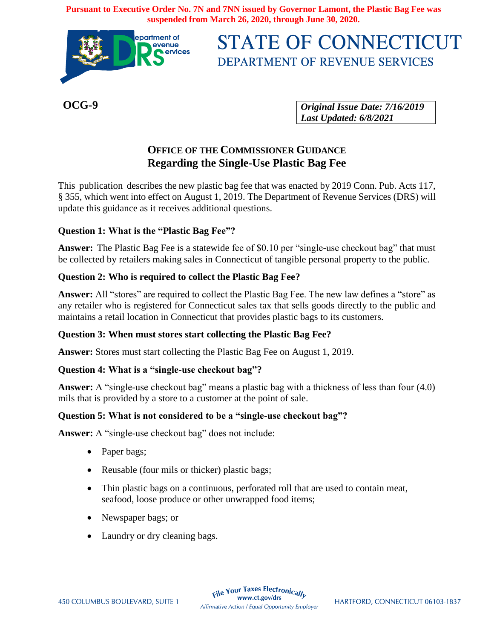**Pursuant to Executive Order No. 7N and 7NN issued by Governor Lamont, the Plastic Bag Fee was suspended from March 26, 2020, through June 30, 2020.**



# **STATE OF CONNECTICUT** DEPARTMENT OF REVENUE SERVICES

**OCG-9**

*Original Issue Date: 7/16/2019 Last Updated: 6/8/2021*

# **OFFICE OF THE COMMISSIONER GUIDANCE Regarding the Single-Use Plastic Bag Fee**

This publication describes the new plastic bag fee that was enacted by 2019 Conn. Pub. Acts 117, § 355, which went into effect on August 1, 2019. The Department of Revenue Services (DRS) will update this guidance as it receives additional questions.

# **Question 1: What is the "Plastic Bag Fee"?**

**Answer:** The Plastic Bag Fee is a statewide fee of \$0.10 per "single-use checkout bag" that must be collected by retailers making sales in Connecticut of tangible personal property to the public.

# **Question 2: Who is required to collect the Plastic Bag Fee?**

**Answer:** All "stores" are required to collect the Plastic Bag Fee. The new law defines a "store" as any retailer who is registered for Connecticut sales tax that sells goods directly to the public and maintains a retail location in Connecticut that provides plastic bags to its customers.

# **Question 3: When must stores start collecting the Plastic Bag Fee?**

**Answer:** Stores must start collecting the Plastic Bag Fee on August 1, 2019.

# **Question 4: What is a "single-use checkout bag"?**

**Answer:** A "single-use checkout bag" means a plastic bag with a thickness of less than four (4.0) mils that is provided by a store to a customer at the point of sale.

# **Question 5: What is not considered to be a "single-use checkout bag"?**

**Answer:** A "single-use checkout bag" does not include:

- Paper bags;
- Reusable (four mils or thicker) plastic bags;
- Thin plastic bags on a continuous, perforated roll that are used to contain meat, seafood, loose produce or other unwrapped food items;
- Newspaper bags; or
- Laundry or dry cleaning bags.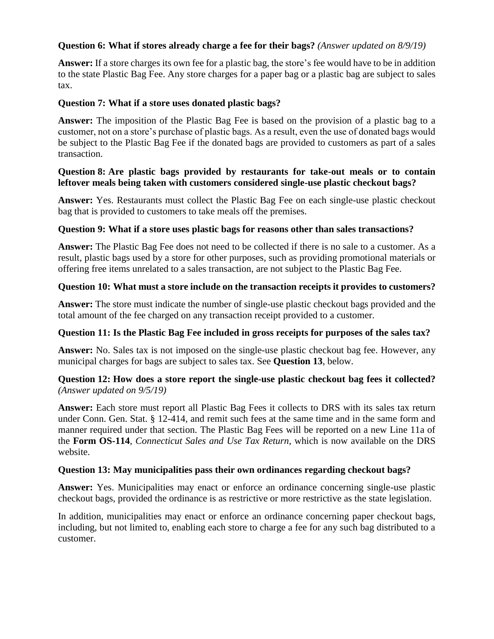# **Question 6: What if stores already charge a fee for their bags?** *(Answer updated on 8/9/19)*

**Answer:** If a store charges its own fee for a plastic bag, the store's fee would have to be in addition to the state Plastic Bag Fee. Any store charges for a paper bag or a plastic bag are subject to sales tax.

#### **Question 7: What if a store uses donated plastic bags?**

**Answer:** The imposition of the Plastic Bag Fee is based on the provision of a plastic bag to a customer, not on a store's purchase of plastic bags. As a result, even the use of donated bags would be subject to the Plastic Bag Fee if the donated bags are provided to customers as part of a sales transaction.

#### **Question 8: Are plastic bags provided by restaurants for take-out meals or to contain leftover meals being taken with customers considered single-use plastic checkout bags?**

**Answer:** Yes. Restaurants must collect the Plastic Bag Fee on each single-use plastic checkout bag that is provided to customers to take meals off the premises.

#### **Question 9: What if a store uses plastic bags for reasons other than sales transactions?**

**Answer:** The Plastic Bag Fee does not need to be collected if there is no sale to a customer. As a result, plastic bags used by a store for other purposes, such as providing promotional materials or offering free items unrelated to a sales transaction, are not subject to the Plastic Bag Fee.

#### **Question 10: What must a store include on the transaction receipts it provides to customers?**

**Answer:** The store must indicate the number of single-use plastic checkout bags provided and the total amount of the fee charged on any transaction receipt provided to a customer.

#### **Question 11: Is the Plastic Bag Fee included in gross receipts for purposes of the sales tax?**

**Answer:** No. Sales tax is not imposed on the single-use plastic checkout bag fee. However, any municipal charges for bags are subject to sales tax. See **Question 13**, below.

#### **Question 12: How does a store report the single-use plastic checkout bag fees it collected?** *(Answer updated on 9/5/19)*

**Answer:** Each store must report all Plastic Bag Fees it collects to DRS with its sales tax return under Conn. Gen. Stat. § 12-414, and remit such fees at the same time and in the same form and manner required under that section. The Plastic Bag Fees will be reported on a new Line 11a of the **Form OS-114**, *Connecticut Sales and Use Tax Return*, which is now available on the DRS website.

#### **Question 13: May municipalities pass their own ordinances regarding checkout bags?**

**Answer:** Yes. Municipalities may enact or enforce an ordinance concerning single-use plastic checkout bags, provided the ordinance is as restrictive or more restrictive as the state legislation.

In addition, municipalities may enact or enforce an ordinance concerning paper checkout bags, including, but not limited to, enabling each store to charge a fee for any such bag distributed to a customer.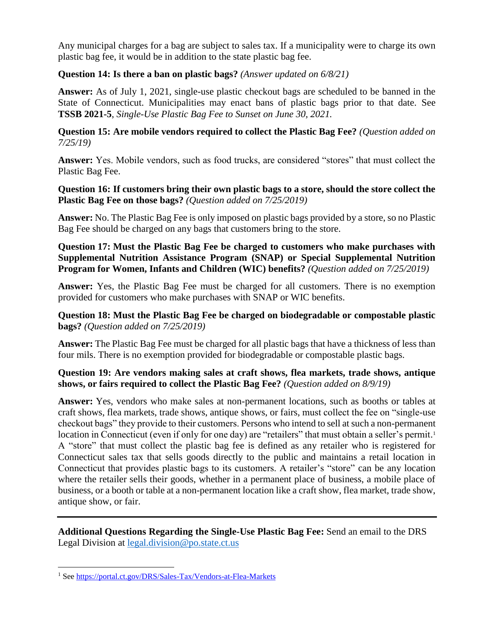Any municipal charges for a bag are subject to sales tax. If a municipality were to charge its own plastic bag fee, it would be in addition to the state plastic bag fee.

# **Question 14: Is there a ban on plastic bags?** *(Answer updated on 6/8/21)*

**Answer:** As of July 1, 2021, single-use plastic checkout bags are scheduled to be banned in the State of Connecticut. Municipalities may enact bans of plastic bags prior to that date. See **TSSB 2021-5**, *Single-Use Plastic Bag Fee to Sunset on June 30, 2021.*

**Question 15: Are mobile vendors required to collect the Plastic Bag Fee?** *(Question added on 7/25/19)*

**Answer:** Yes. Mobile vendors, such as food trucks, are considered "stores" that must collect the Plastic Bag Fee.

**Question 16: If customers bring their own plastic bags to a store, should the store collect the Plastic Bag Fee on those bags?** *(Question added on 7/25/2019)*

**Answer:** No. The Plastic Bag Fee is only imposed on plastic bags provided by a store, so no Plastic Bag Fee should be charged on any bags that customers bring to the store.

**Question 17: Must the Plastic Bag Fee be charged to customers who make purchases with Supplemental Nutrition Assistance Program (SNAP) or Special Supplemental Nutrition Program for Women, Infants and Children (WIC) benefits?** *(Question added on 7/25/2019)*

**Answer:** Yes, the Plastic Bag Fee must be charged for all customers. There is no exemption provided for customers who make purchases with SNAP or WIC benefits.

**Question 18: Must the Plastic Bag Fee be charged on biodegradable or compostable plastic bags?** *(Question added on 7/25/2019)*

**Answer:** The Plastic Bag Fee must be charged for all plastic bags that have a thickness of less than four mils. There is no exemption provided for biodegradable or compostable plastic bags.

#### **Question 19: Are vendors making sales at craft shows, flea markets, trade shows, antique shows, or fairs required to collect the Plastic Bag Fee?** *(Question added on 8/9/19)*

**Answer:** Yes, vendors who make sales at non-permanent locations, such as booths or tables at craft shows, flea markets, trade shows, antique shows, or fairs, must collect the fee on "single-use checkout bags" they provide to their customers. Persons who intend to sell at such a non-permanent location in Connecticut (even if only for one day) are "retailers" that must obtain a seller's permit.<sup>1</sup> A "store" that must collect the plastic bag fee is defined as any retailer who is registered for Connecticut sales tax that sells goods directly to the public and maintains a retail location in Connecticut that provides plastic bags to its customers. A retailer's "store" can be any location where the retailer sells their goods, whether in a permanent place of business, a mobile place of business, or a booth or table at a non-permanent location like a craft show, flea market, trade show, antique show, or fair.

**Additional Questions Regarding the Single-Use Plastic Bag Fee:** Send an email to the DRS Legal Division at [legal.division@po.state.ct.us](mailto:legal.division@po.state.ct.us)

 $\overline{\phantom{a}}$ 

<sup>1</sup> Se[e https://portal.ct.gov/DRS/Sales-Tax/Vendors-at-Flea-Markets](https://portal.ct.gov/DRS/Sales-Tax/Vendors-at-Flea-Markets)